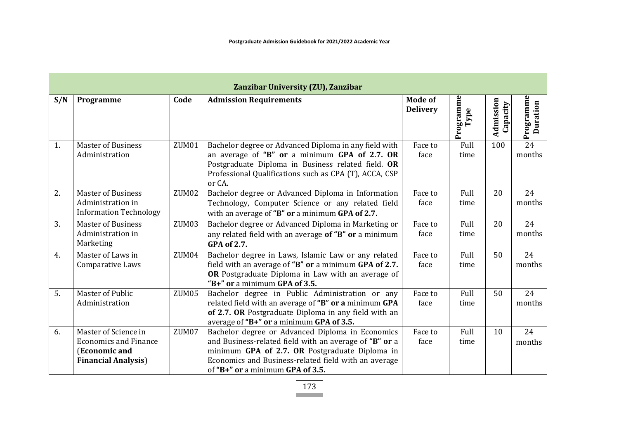| Zanzibar University (ZU), Zanzibar |                                                                                                      |                   |                                                                                                                                                                                                                                                          |                            |                   |                       |                           |  |  |  |  |
|------------------------------------|------------------------------------------------------------------------------------------------------|-------------------|----------------------------------------------------------------------------------------------------------------------------------------------------------------------------------------------------------------------------------------------------------|----------------------------|-------------------|-----------------------|---------------------------|--|--|--|--|
| S/N                                | Programme                                                                                            | Code              | <b>Admission Requirements</b>                                                                                                                                                                                                                            | Mode of<br><b>Delivery</b> | Programme<br>Type | Admission<br>Capacity | Programme<br>Duration     |  |  |  |  |
| 1.                                 | <b>Master of Business</b><br>Administration                                                          | ZUM01             | Bachelor degree or Advanced Diploma in any field with<br>an average of "B" or a minimum GPA of 2.7. OR<br>Postgraduate Diploma in Business related field. OR<br>Professional Qualifications such as CPA (T), ACCA, CSP<br>or CA.                         | Face to<br>face            | Full<br>time      | 100                   | $\overline{24}$<br>months |  |  |  |  |
| 2.                                 | <b>Master of Business</b><br>Administration in<br><b>Information Technology</b>                      | ZUM <sub>02</sub> | Bachelor degree or Advanced Diploma in Information<br>Technology, Computer Science or any related field<br>with an average of "B" or a minimum GPA of 2.7.                                                                                               | Face to<br>face            | Full<br>time      | 20                    | 24<br>months              |  |  |  |  |
| 3.                                 | <b>Master of Business</b><br>Administration in<br>Marketing                                          | ZUM03             | Bachelor degree or Advanced Diploma in Marketing or<br>any related field with an average of "B" or a minimum<br><b>GPA of 2.7.</b>                                                                                                                       | Face to<br>face            | Full<br>time      | 20                    | 24<br>months              |  |  |  |  |
| 4.                                 | Master of Laws in<br>Comparative Laws                                                                | ZUM04             | Bachelor degree in Laws, Islamic Law or any related<br>field with an average of "B" or a minimum GPA of 2.7.<br>OR Postgraduate Diploma in Law with an average of<br>"B+" or a minimum GPA of 3.5.                                                       | Face to<br>face            | Full<br>time      | 50                    | 24<br>months              |  |  |  |  |
| 5.                                 | <b>Master of Public</b><br>Administration                                                            | ZUM <sub>05</sub> | Bachelor degree in Public Administration or any<br>related field with an average of "B" or a minimum GPA<br>of 2.7. OR Postgraduate Diploma in any field with an<br>average of "B+" or a minimum GPA of 3.5.                                             | Face to<br>face            | Full<br>time      | 50                    | 24<br>months              |  |  |  |  |
| 6.                                 | Master of Science in<br><b>Economics and Finance</b><br>(Economic and<br><b>Financial Analysis</b> ) | ZUM07             | Bachelor degree or Advanced Diploma in Economics<br>and Business-related field with an average of "B" or a<br>minimum GPA of 2.7. OR Postgraduate Diploma in<br>Economics and Business-related field with an average<br>of "B+" or a minimum GPA of 3.5. | Face to<br>face            | Full<br>time      | 10                    | 24<br>months              |  |  |  |  |